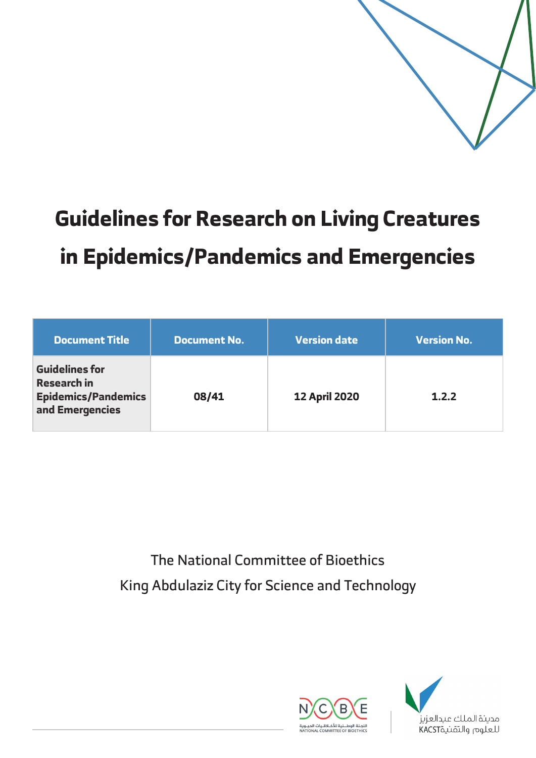

# **Guidelines for Research on Living Creatures in Epidemics/Pandemics and Emergencies**

| Document Title                                                                               | <b>Document No.</b> | <b>Version date</b>  | <b>Version No.</b> |
|----------------------------------------------------------------------------------------------|---------------------|----------------------|--------------------|
| <b>Guidelines for</b><br><b>Research in</b><br><b>Epidemics/Pandemics</b><br>and Emergencies | 08/41               | <b>12 April 2020</b> | 1.2.2              |

The National Committee of Bioethics King Abdulaziz City for Science and Technology



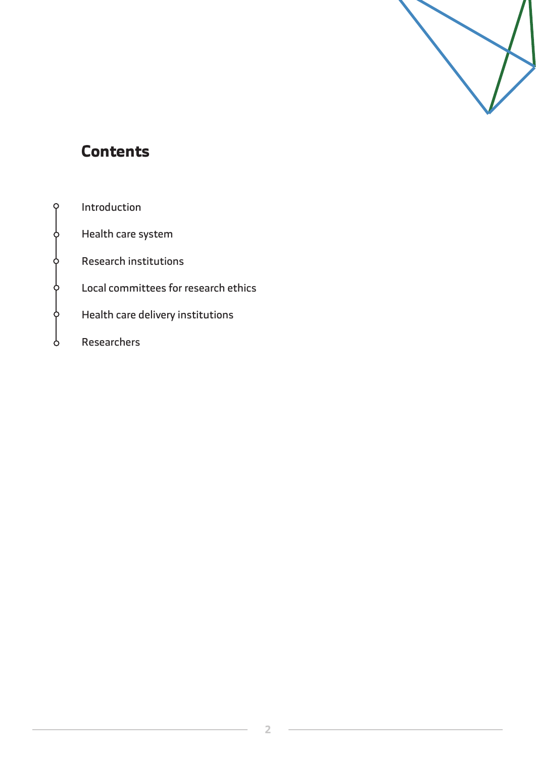

## **Contents**

 $\varphi$ 

¢

¢

¢

Ò

Ċ

| Introduction                         |
|--------------------------------------|
| Health care system                   |
| <b>Research institutions</b>         |
| Local committees for research ethics |
| Health care delivery institutions    |
| Researchers                          |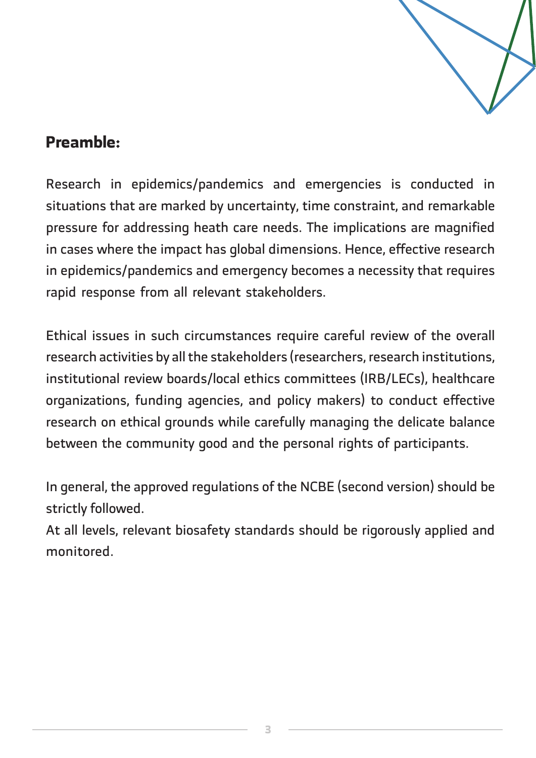

## **:Preamble**

Research in epidemics/pandemics and emergencies is conducted in situations that are marked by uncertainty, time constraint, and remarkable pressure for addressing heath care needs. The implications are magnified in cases where the impact has global dimensions. Hence, effective research in epidemics/pandemics and emergency becomes a necessity that requires rapid response from all relevant stakeholders.

Ethical issues in such circumstances require careful review of the overall research activities by all the stakeholders (researchers, research institutions, institutional review boards/local ethics committees (IRB/LECs), healthcare organizations, funding agencies, and policy makers) to conduct effective research on ethical grounds while carefully managing the delicate balance between the community good and the personal rights of participants.

In general, the approved regulations of the NCBE (second version) should be strictly followed.

At all levels, relevant biosafety standards should be rigorously applied and .monitored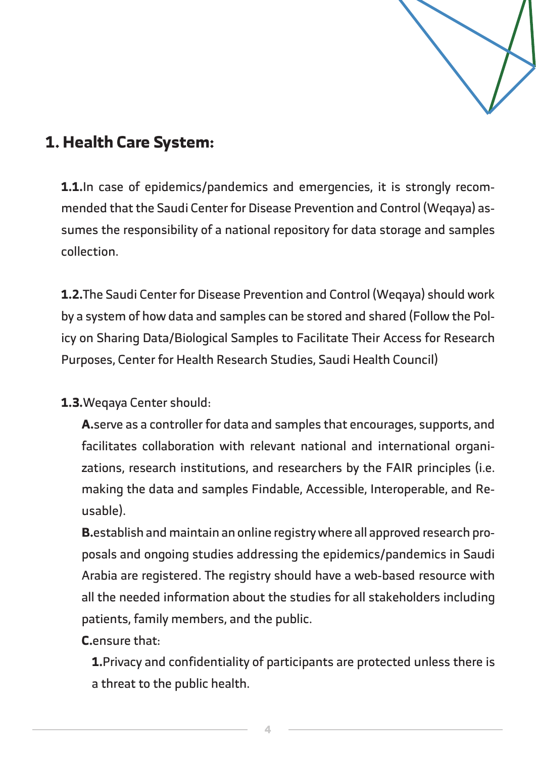

## **1. Health Care System:**

sumes the responsibility of a national repository for data storage and samples mended that the Saudi Center for Disease Prevention and Control (Weqaya) as-**1.1.** In case of epidemics/pandemics and emergencies, it is strongly recom-.collection

1.2. The Saudi Center for Disease Prevention and Control (Wegaya) should work icy on Sharing Data/Biological Samples to Facilitate Their Access for Research by a system of how data and samples can be stored and shared (Follow the Pol-Purposes, Center for Health Research Studies, Saudi Health Council)

#### 1.3. Wegaya Center should:

A. serve as a controller for data and samples that encourages, supports, and zations, research institutions, and researchers by the FAIR principles (i.e. facilitates collaboration with relevant national and international organimaking the data and samples Findable, Accessible, Interoperable, and Re-<br>usable).

posals and ongoing studies addressing the epidemics/pandemics in Saudi **B.** establish and maintain an online registry where all approved research pro-Arabia are registered. The registry should have a web-based resource with all the needed information about the studies for all stakeholders including patients, family members, and the public.

C.ensure that:

**1.** Privacy and confidentiality of participants are protected unless there is a threat to the public health.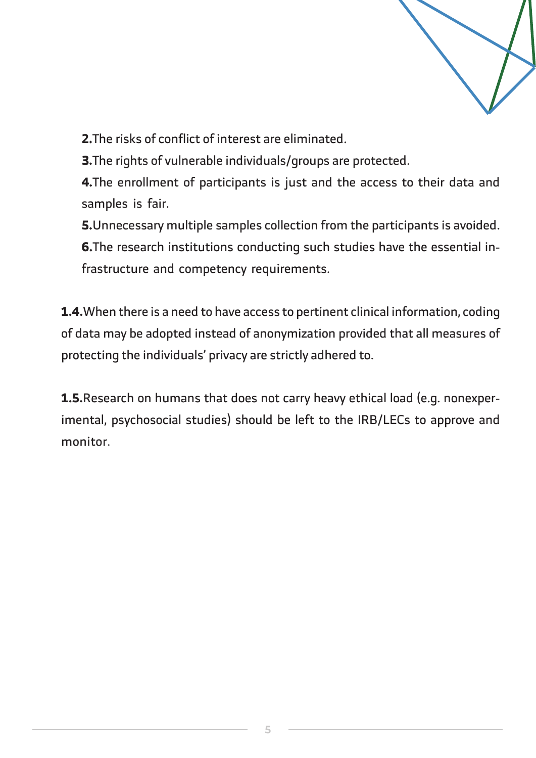

2. The risks of conflict of interest are eliminated.

3. The rights of vulnerable individuals/groups are protected.

4. The enrollment of participants is just and the access to their data and samples is fair.

**5.** Unnecessary multiple samples collection from the participants is avoided.

**6.**The research institutions conducting such studies have the essential in-<br>frastructure and competency requirements.

1.4. When there is a need to have access to pertinent clinical information, coding of data may be adopted instead of anonymization provided that all measures of protecting the individuals' privacy are strictly adhered to.

imental, psychosocial studies) should be left to the IRB/LECs to approve and **1.5.** Research on humans that does not carry heavy ethical load (e.g. nonexper-.monitor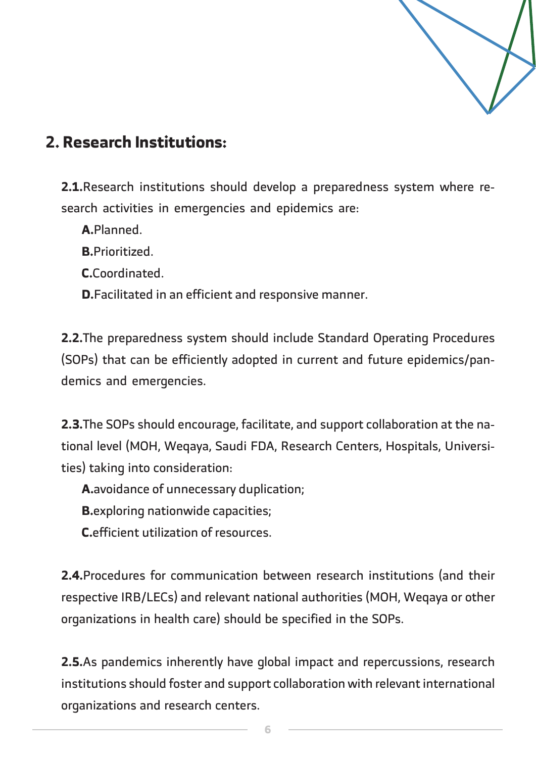

## **2. Research Institutions:**

**2.1.**Research institutions should develop a preparedness system where re-<br>search activities in emergencies and epidemics are:

A.Planned.

.Prioritized**.B**

.Coordinated**.C**

**D.**Facilitated in an efficient and responsive manner.

2.2. The preparedness system should include Standard Operating Procedures (SOPs) that can be efficiently adopted in current and future epidemics/pan-<br>demics and emergencies.

tional level (MOH, Weqaya, Saudi FDA, Research Centers, Hospitals, Universi-<br>ties) taking into consideration: **2.3.**The SOPs should encourage, facilitate, and support collaboration at the na-<br>tional level (MOH, Weqaya, Saudi FDA, Research Centers, Hospitals, Universi-2.3. The SOPs should encourage, facilitate, and support collaboration at the na-

A.avoidance of unnecessary duplication;

**B.**exploring nationwide capacities;

**C.**efficient utilization of resources.

**2.4.** Procedures for communication between research institutions (and their respective IRB/LECs) and relevant national authorities (MOH, Wegaya or other organizations in health care) should be specified in the SOPs.

2.5. As pandemics inherently have global impact and repercussions, research institutions should foster and support collaboration with relevant international organizations and research centers.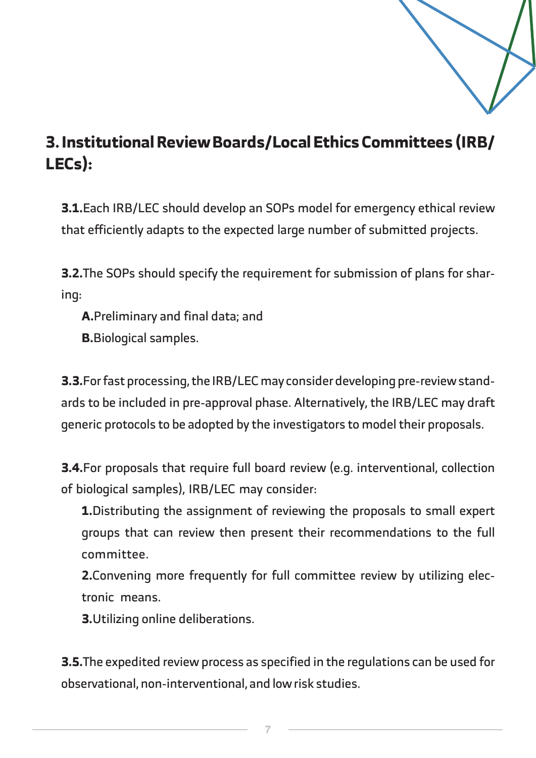

## **3. Institutional Review Boards/Local Ethics Committees (IRB/ :(LECs**

3.1. Each IRB/LEC should develop an SOPs model for emergency ethical review that efficiently adapts to the expected large number of submitted projects.

**3.2.**The SOPs should specify the requirement for submission of plans for shar-<br>ing:

A. Preliminary and final data; and

**B.**Biological samples.

ards to be included in pre-approval phase. Alternatively, the IRB/LEC may draft **3.3.** For fast processing, the IRB/LEC may consider developing pre-review standgeneric protocols to be adopted by the investigators to model their proposals.

**3.4.** For proposals that require full board review (e.g. interventional, collection of biological samples), IRB/LEC may consider:

1. Distributing the assignment of reviewing the proposals to small expert groups that can review then present their recommendations to the full .committee

**2.**Convening more frequently for full committee review by utilizing elec-<br>tronic means.

**3.**Utilizing online deliberations.

**3.5.** The expedited review process as specified in the requlations can be used for observational, non-interventional, and low risk studies.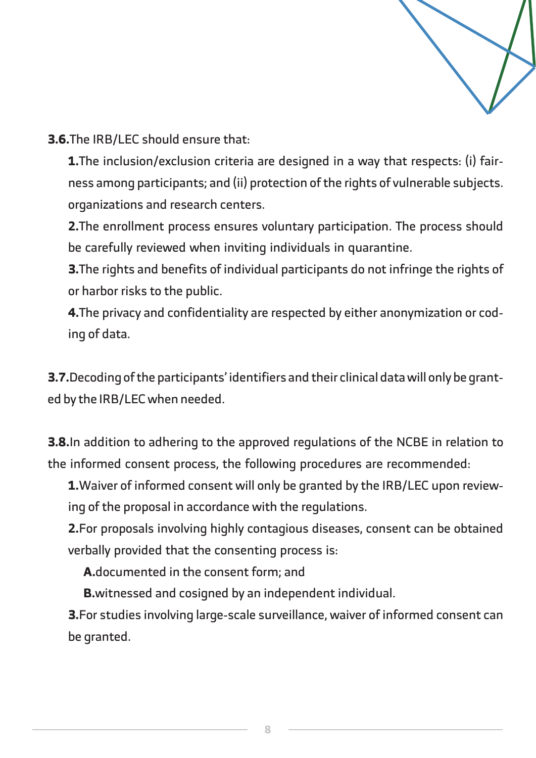

**3.6.** The IRB/LEC should ensure that:

ness among participants; and (ii) protection of the rights of vulnerable subjects. **1.** The inclusion/exclusion criteria are designed in a way that respects: (i) fairorganizations and research centers.

2. The enrollment process ensures voluntary participation. The process should be carefully reviewed when inviting individuals in quarantine.

**3.** The rights and benefits of individual participants do not infringe the rights of or harbor risks to the public.

**4.**The privacy and confidentiality are respected by either anonymization or cod-<br>ing of data.

**3.7.**Decoding of the participants' identifiers and their clinical data will only be grant-<br>ed by the IRB/LEC when needed.

**3.8.** In addition to adhering to the approved regulations of the NCBE in relation to the informed consent process, the following procedures are recommended:

**1.**Waiver of informed consent will only be granted by the IRB/LEC upon review-<br>ing of the proposal in accordance with the regulations.

2. For proposals involving highly contagious diseases, consent can be obtained verbally provided that the consenting process is:

**A.** documented in the consent form: and

**B.**witnessed and cosigned by an independent individual.

**3.** For studies involving large-scale surveillance, waiver of informed consent can be granted.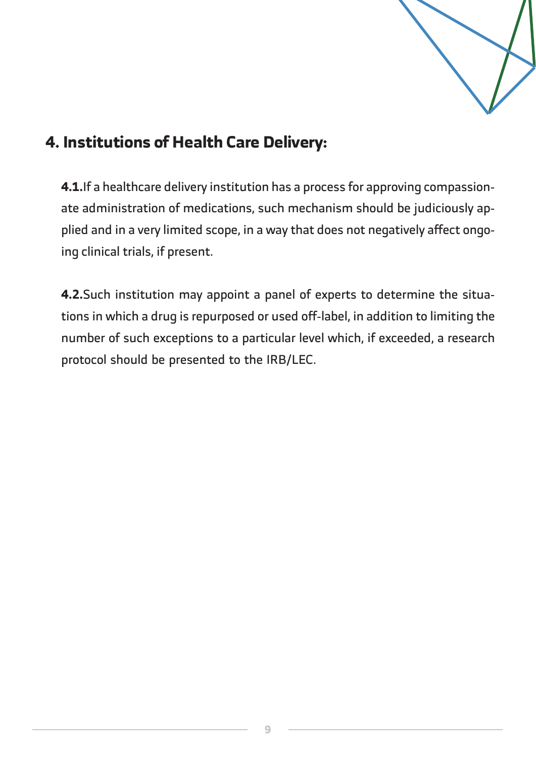

## **4. Institutions of Health Care Delivery:**

plied and in a very limited scope, in a way that does not negatively affect ongo-<br>ing clinical trials, if present. ate administration of medications, such mechanism should be judiciously ap-<br>plied and in a very limited scope, in a way that does not negatively affect ongoate administration of medications, such mechanism should be judiciously ap-4.1. If a healthcare delivery institution has a process for approving compassion-

tions in which a drug is repurposed or used off-label, in addition to limiting the 4.2. Such institution may appoint a panel of experts to determine the situanumber of such exceptions to a particular level which, if exceeded, a research protocol should be presented to the IRB/LEC.